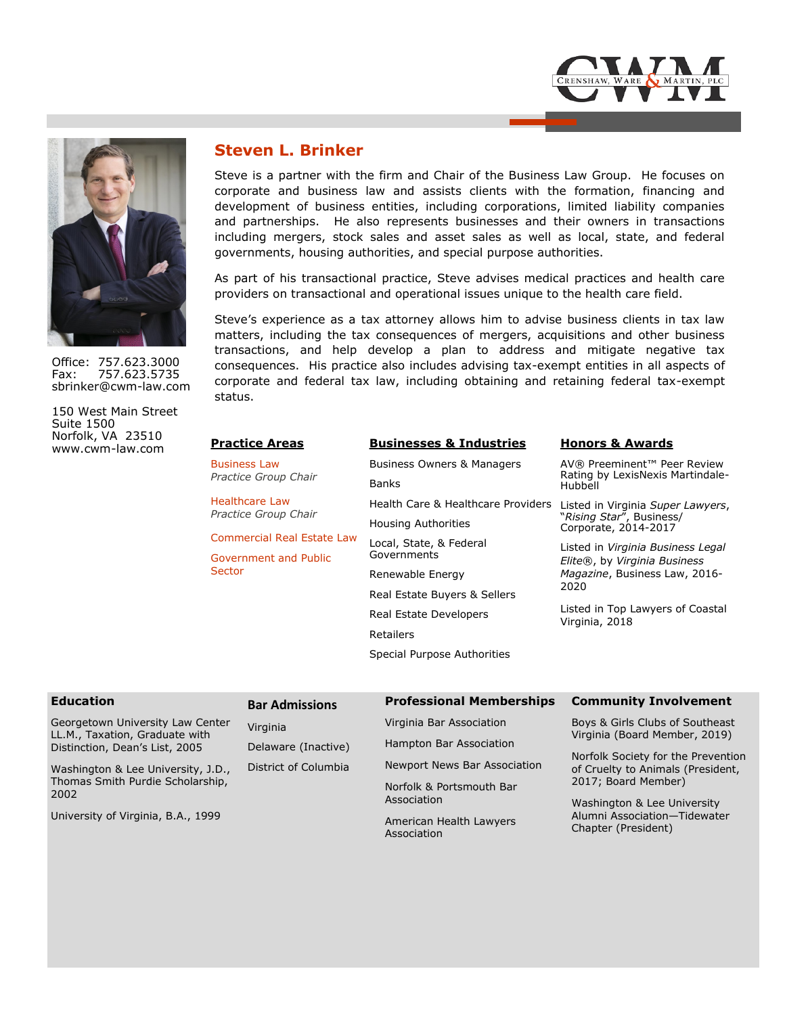

Office: 757.623.3000 Fax: 757.623.5735 sbrinker@cwm-law.com

150 West Main Street Suite 1500 Norfolk, VA 23510 www.cwm-law.com **Practice Areas**

## **Steven L. Brinker**

Steve is a partner with the firm and Chair of the Business Law Group. He focuses on corporate and business law and assists clients with the formation, financing and development of business entities, including corporations, limited liability companies and partnerships. He also represents businesses and their owners in transactions including mergers, stock sales and asset sales as well as local, state, and federal governments, housing authorities, and special purpose authorities.

As part of his transactional practice, Steve advises medical practices and health care providers on transactional and operational issues unique to the health care field.

Steve's experience as a tax attorney allows him to advise business clients in tax law matters, including the tax consequences of mergers, acquisitions and other business transactions, and help develop a plan to address and mitigate negative tax consequences. His practice also includes advising tax-exempt entities in all aspects of corporate and federal tax law, including obtaining and retaining federal tax-exempt status.

| <b>Practice Areas</b>                       | <b>Businesses &amp; Industries</b>    | <b>Honors &amp; Awards</b>                                                                  |  |
|---------------------------------------------|---------------------------------------|---------------------------------------------------------------------------------------------|--|
| <b>Business Law</b><br>Practice Group Chair | <b>Business Owners &amp; Managers</b> | AV® Preeminent™ Peer Review<br>Rating by LexisNexis Martindale-<br>Hubbell                  |  |
|                                             | <b>Banks</b>                          |                                                                                             |  |
| Healthcare Law<br>Practice Group Chair      | Health Care & Healthcare Providers    | Listed in Virginia Super Lawyers,<br>"Rising Star", Business/<br>Corporate, 2014-2017       |  |
|                                             | <b>Housing Authorities</b>            |                                                                                             |  |
| Commercial Real Estate Law                  | Local, State, & Federal               | Listed in Virginia Business Legal<br>Elite®, by Virginia Business                           |  |
| <b>Government and Public</b><br>Sector      | Governments                           |                                                                                             |  |
|                                             | Renewable Energy                      | Magazine, Business Law, 2016-<br>2020<br>Listed in Top Lawyers of Coastal<br>Virginia, 2018 |  |
|                                             | Real Estate Buyers & Sellers          |                                                                                             |  |
|                                             | Real Estate Developers                |                                                                                             |  |
|                                             | Retailers                             |                                                                                             |  |
|                                             | Special Purpose Authorities           |                                                                                             |  |

| <b>Education</b>                                                                                                                                                                       | <b>Bar Admissions</b> | <b>Professional Memberships</b>                          | <b>Community Involvement</b>                                                                                                                                       |  |
|----------------------------------------------------------------------------------------------------------------------------------------------------------------------------------------|-----------------------|----------------------------------------------------------|--------------------------------------------------------------------------------------------------------------------------------------------------------------------|--|
| Georgetown University Law Center<br>LL.M., Taxation, Graduate with<br>Distinction, Dean's List, 2005<br>Washington & Lee University, J.D.,<br>Thomas Smith Purdie Scholarship,<br>2002 | Virginia              | Virginia Bar Association                                 | Boys & Girls Clubs of Southeast<br>Virginia (Board Member, 2019)<br>Norfolk Society for the Prevention<br>of Cruelty to Animals (President,<br>2017; Board Member) |  |
|                                                                                                                                                                                        | Delaware (Inactive)   | Hampton Bar Association                                  |                                                                                                                                                                    |  |
|                                                                                                                                                                                        | District of Columbia  | Newport News Bar Association<br>Norfolk & Portsmouth Bar |                                                                                                                                                                    |  |
|                                                                                                                                                                                        |                       | Association                                              | Washington & Lee University                                                                                                                                        |  |
| University of Virginia, B.A., 1999                                                                                                                                                     |                       | American Health Lawyers<br>Association                   | Alumni Association-Tidewater<br>Chapter (President)                                                                                                                |  |